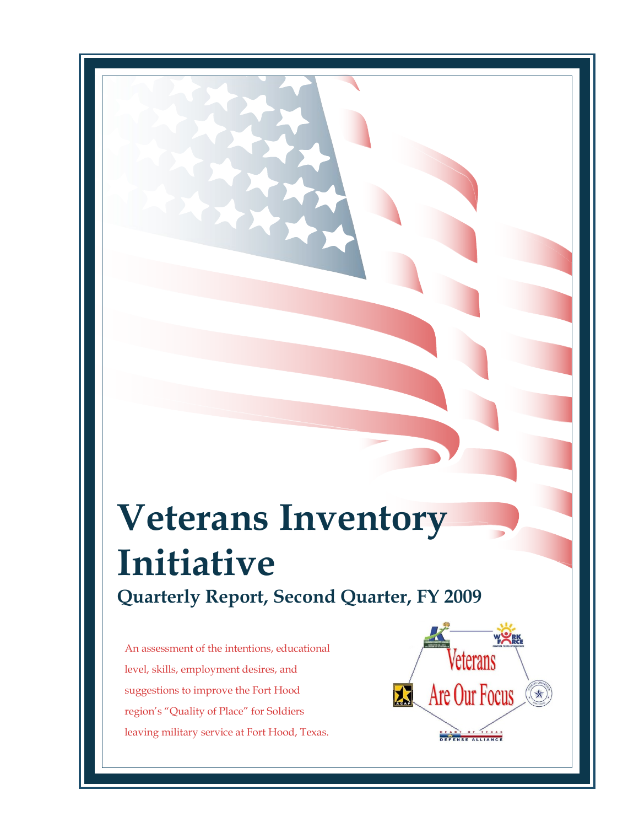# **Veterans Inventory Initiative Quarterly Report, Second Quarter, FY 2009**

An assessment of the intentions, educational level, skills, employment desires, and suggestions to improve the Fort Hood region's "Quality of Place" for Soldiers leaving military service at Fort Hood, Texas.

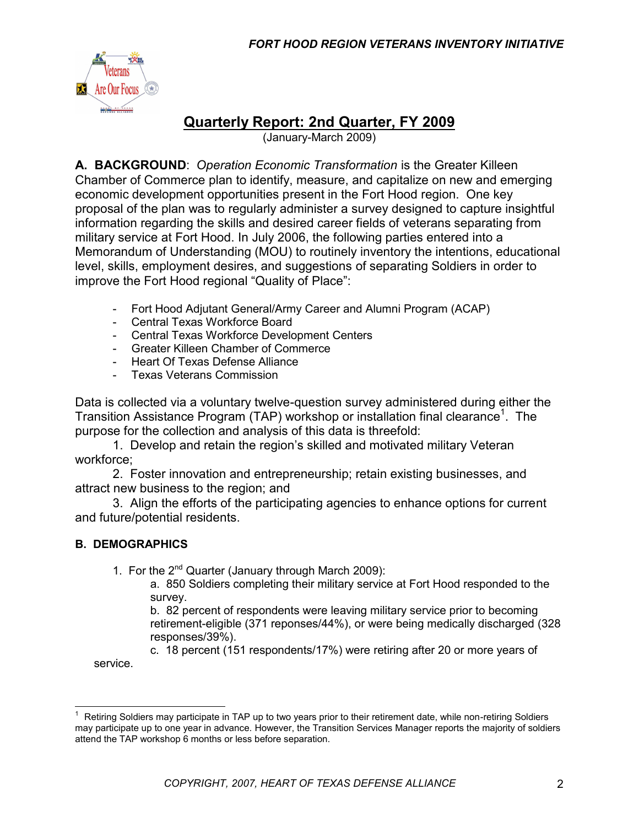

# **Quarterly Report: 2nd Quarter, FY 2009**

(January-March 2009)

**A. BACKGROUND**: *Operation Economic Transformation* is the Greater Killeen Chamber of Commerce plan to identify, measure, and capitalize on new and emerging economic development opportunities present in the Fort Hood region. One key proposal of the plan was to regularly administer a survey designed to capture insightful information regarding the skills and desired career fields of veterans separating from military service at Fort Hood. In July 2006, the following parties entered into a Memorandum of Understanding (MOU) to routinely inventory the intentions, educational level, skills, employment desires, and suggestions of separating Soldiers in order to improve the Fort Hood regional "Quality of Place":

- Fort Hood Adjutant General/Army Career and Alumni Program (ACAP)
- Central Texas Workforce Board
- Central Texas Workforce Development Centers
- Greater Killeen Chamber of Commerce
- Heart Of Texas Defense Alliance
- Texas Veterans Commission

Data is collected via a voluntary twelve-question survey administered during either the Transition Assistance Program (TAP) workshop or installation final clearance<sup>1</sup>. The purpose for the collection and analysis of this data is threefold:

1. Develop and retain the region's skilled and motivated military Veteran workforce;

2. Foster innovation and entrepreneurship; retain existing businesses, and attract new business to the region; and

3. Align the efforts of the participating agencies to enhance options for current and future/potential residents.

#### **B. DEMOGRAPHICS**

1. For the  $2^{nd}$  Quarter (January through March 2009):

a. 850 Soldiers completing their military service at Fort Hood responded to the survey.

b. 82 percent of respondents were leaving military service prior to becoming retirement-eligible (371 reponses/44%), or were being medically discharged (328 responses/39%).

c. 18 percent (151 respondents/17%) were retiring after 20 or more years of service.

<sup>1</sup> Retiring Soldiers may participate in TAP up to two years prior to their retirement date, while non-retiring Soldiers may participate up to one year in advance. However, the Transition Services Manager reports the majority of soldiers attend the TAP workshop 6 months or less before separation.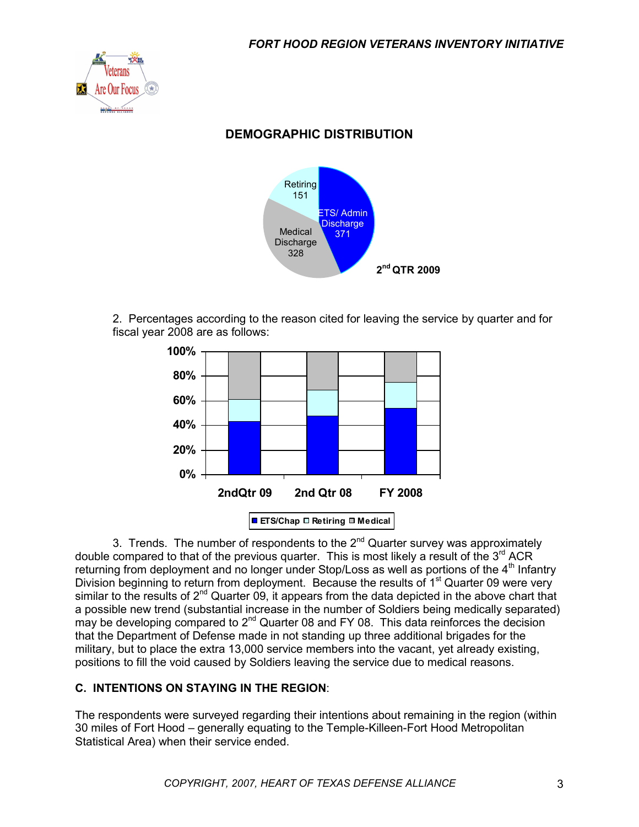

# **DEMOGRAPHIC DISTRIBUTION**



2. Percentages according to the reason cited for leaving the service by quarter and for fiscal year 2008 are as follows:



3. Trends. The number of respondents to the  $2^{nd}$  Quarter survey was approximately double compared to that of the previous quarter. This is most likely a result of the  $3^{rd}$  ACR returning from deployment and no longer under Stop/Loss as well as portions of the  $4<sup>th</sup>$  Infantry Division beginning to return from deployment. Because the results of  $1<sup>st</sup>$  Quarter 09 were very similar to the results of  $2^{nd}$  Quarter 09, it appears from the data depicted in the above chart that a possible new trend (substantial increase in the number of Soldiers being medically separated) may be developing compared to 2<sup>nd</sup> Quarter 08 and FY 08. This data reinforces the decision that the Department of Defense made in not standing up three additional brigades for the military, but to place the extra 13,000 service members into the vacant, yet already existing, positions to fill the void caused by Soldiers leaving the service due to medical reasons.

#### **C. INTENTIONS ON STAYING IN THE REGION**:

The respondents were surveyed regarding their intentions about remaining in the region (within 30 miles of Fort Hood – generally equating to the Temple-Killeen-Fort Hood Metropolitan Statistical Area) when their service ended.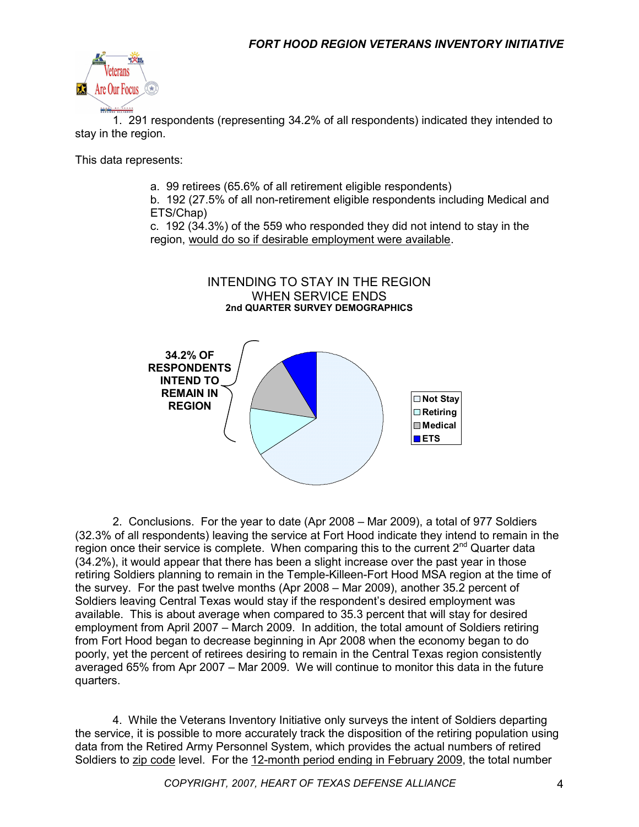

1. 291 respondents (representing 34.2% of all respondents) indicated they intended to stay in the region.

This data represents:

a. 99 retirees (65.6% of all retirement eligible respondents)

b. 192 (27.5% of all non-retirement eligible respondents including Medical and ETS/Chap)

c. 192 (34.3%) of the 559 who responded they did not intend to stay in the region, would do so if desirable employment were available.



2. Conclusions. For the year to date (Apr 2008 – Mar 2009), a total of 977 Soldiers (32.3% of all respondents) leaving the service at Fort Hood indicate they intend to remain in the region once their service is complete. When comparing this to the current  $2^{nd}$  Quarter data (34.2%), it would appear that there has been a slight increase over the past year in those retiring Soldiers planning to remain in the Temple-Killeen-Fort Hood MSA region at the time of the survey. For the past twelve months (Apr 2008 – Mar 2009), another 35.2 percent of Soldiers leaving Central Texas would stay if the respondent's desired employment was available. This is about average when compared to 35.3 percent that will stay for desired employment from April 2007 – March 2009. In addition, the total amount of Soldiers retiring from Fort Hood began to decrease beginning in Apr 2008 when the economy began to do poorly, yet the percent of retirees desiring to remain in the Central Texas region consistently averaged 65% from Apr 2007 – Mar 2009. We will continue to monitor this data in the future quarters.

4. While the Veterans Inventory Initiative only surveys the intent of Soldiers departing the service, it is possible to more accurately track the disposition of the retiring population using data from the Retired Army Personnel System, which provides the actual numbers of retired Soldiers to zip code level. For the 12-month period ending in February 2009, the total number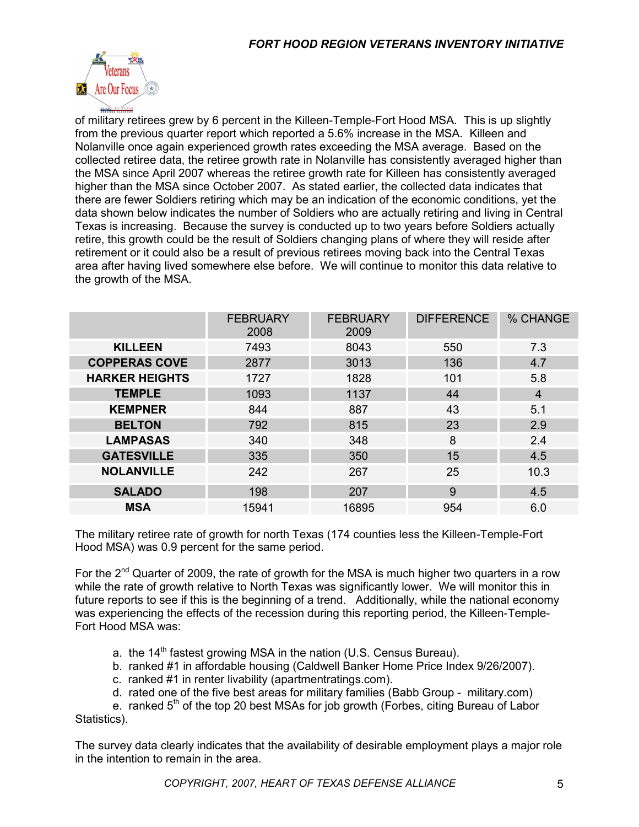

of military retirees grew by 6 percent in the Killeen-Temple-Fort Hood MSA. This is up slightly from the previous quarter report which reported a 5.6% increase in the MSA. Killeen and Nolanville once again experienced growth rates exceeding the MSA average. Based on the collected retiree data, the retiree growth rate in Nolanville has consistently averaged higher than the MSA since April 2007 whereas the retiree growth rate for Killeen has consistently averaged higher than the MSA since October 2007. As stated earlier, the collected data indicates that there are fewer Soldiers retiring which may be an indication of the economic conditions, yet the data shown below indicates the number of Soldiers who are actually retiring and living in Central Texas is increasing. Because the survey is conducted up to two years before Soldiers actually retire, this growth could be the result of Soldiers changing plans of where they will reside after retirement or it could also be a result of previous retirees moving back into the Central Texas area after having lived somewhere else before. We will continue to monitor this data relative to the growth of the MSA.

|                       | <b>FEBRUARY</b><br>2008 | <b>FEBRUARY</b><br>2009 | <b>DIFFERENCE</b> | % CHANGE       |
|-----------------------|-------------------------|-------------------------|-------------------|----------------|
| <b>KILLEEN</b>        | 7493                    | 8043                    | 550               | 7.3            |
| <b>COPPERAS COVE</b>  | 2877                    | 3013                    | 136               | 4.7            |
| <b>HARKER HEIGHTS</b> | 1727                    | 1828                    | 101               | 5.8            |
| <b>TEMPLE</b>         | 1093                    | 1137                    | 44                | $\overline{4}$ |
| <b>KEMPNER</b>        | 844                     | 887                     | 43                | 5.1            |
| <b>BELTON</b>         | 792                     | 815                     | 23                | 2.9            |
| <b>LAMPASAS</b>       | 340                     | 348                     | 8                 | 2.4            |
| <b>GATESVILLE</b>     | 335                     | 350                     | 15                | 4.5            |
| <b>NOLANVILLE</b>     | 242                     | 267                     | 25                | 10.3           |
| <b>SALADO</b>         | 198                     | 207                     | 9                 | 4.5            |
| <b>MSA</b>            | 15941                   | 16895                   | 954               | 6.0            |

The military retiree rate of growth for north Texas (174 counties less the Killeen-Temple-Fort Hood MSA) was 0.9 percent for the same period.

For the  $2^{nd}$  Quarter of 2009, the rate of growth for the MSA is much higher two quarters in a row while the rate of growth relative to North Texas was significantly lower. We will monitor this in future reports to see if this is the beginning of a trend. Additionally, while the national economy was experiencing the effects of the recession during this reporting period, the Killeen-Temple-Fort Hood MSA was:

- a. the 14<sup>th</sup> fastest growing MSA in the nation (U.S. Census Bureau).
- b. ranked #1 in affordable housing (Caldwell Banker Home Price Index 9/26/2007).
- c. ranked #1 in renter livability (apartmentratings.com).
- d. rated one of the five best areas for military families (Babb Group military.com)

e. ranked  $5<sup>th</sup>$  of the top 20 best MSAs for job growth (Forbes, citing Bureau of Labor Statistics).

The survey data clearly indicates that the availability of desirable employment plays a major role in the intention to remain in the area.

*COPYRIGHT, 2007, HEART OF TEXAS DEFENSE ALLIANCE* 5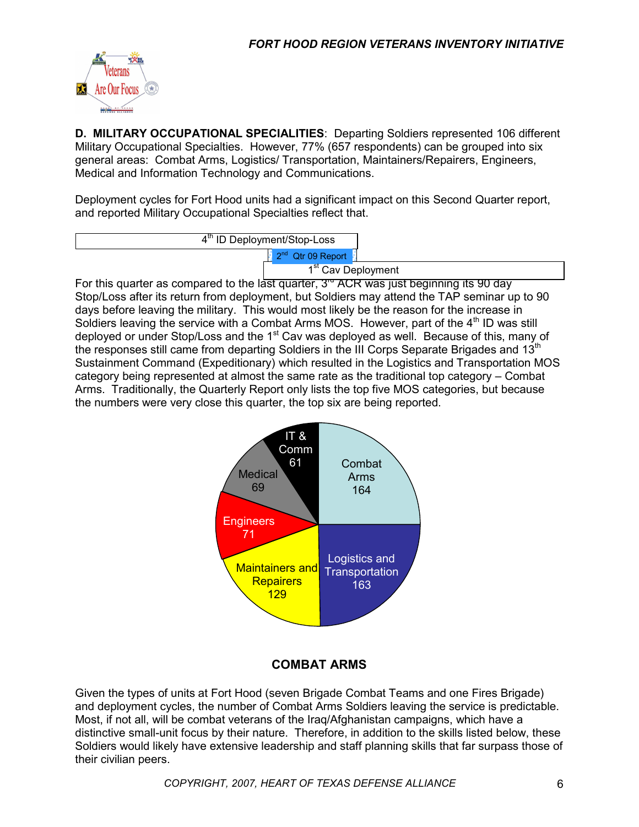

**D. MILITARY OCCUPATIONAL SPECIALITIES**: Departing Soldiers represented 106 different Military Occupational Specialties. However, 77% (657 respondents) can be grouped into six general areas: Combat Arms, Logistics/ Transportation, Maintainers/Repairers, Engineers, Medical and Information Technology and Communications.

Deployment cycles for Fort Hood units had a significant impact on this Second Quarter report, and reported Military Occupational Specialties reflect that.

> 2<sup>nd</sup> Qtr 09 Report 4<sup>th</sup> ID Deployment/Stop-Loss

1<sup>st</sup> Cav Deployment

For this quarter as compared to the last quarter,  $3^{\circ}$  ACR was just beginning its 90 day Stop/Loss after its return from deployment, but Soldiers may attend the TAP seminar up to 90 days before leaving the military. This would most likely be the reason for the increase in Soldiers leaving the service with a Combat Arms MOS. However, part of the 4<sup>th</sup> ID was still deployed or under Stop/Loss and the 1<sup>st</sup> Cav was deployed as well. Because of this, many of the responses still came from departing Soldiers in the III Corps Separate Brigades and 13<sup>th</sup> Sustainment Command (Expeditionary) which resulted in the Logistics and Transportation MOS category being represented at almost the same rate as the traditional top category – Combat Arms. Traditionally, the Quarterly Report only lists the top five MOS categories, but because the numbers were very close this quarter, the top six are being reported.



#### **COMBAT ARMS**

Given the types of units at Fort Hood (seven Brigade Combat Teams and one Fires Brigade) and deployment cycles, the number of Combat Arms Soldiers leaving the service is predictable. Most, if not all, will be combat veterans of the Iraq/Afghanistan campaigns, which have a distinctive small-unit focus by their nature. Therefore, in addition to the skills listed below, these Soldiers would likely have extensive leadership and staff planning skills that far surpass those of their civilian peers.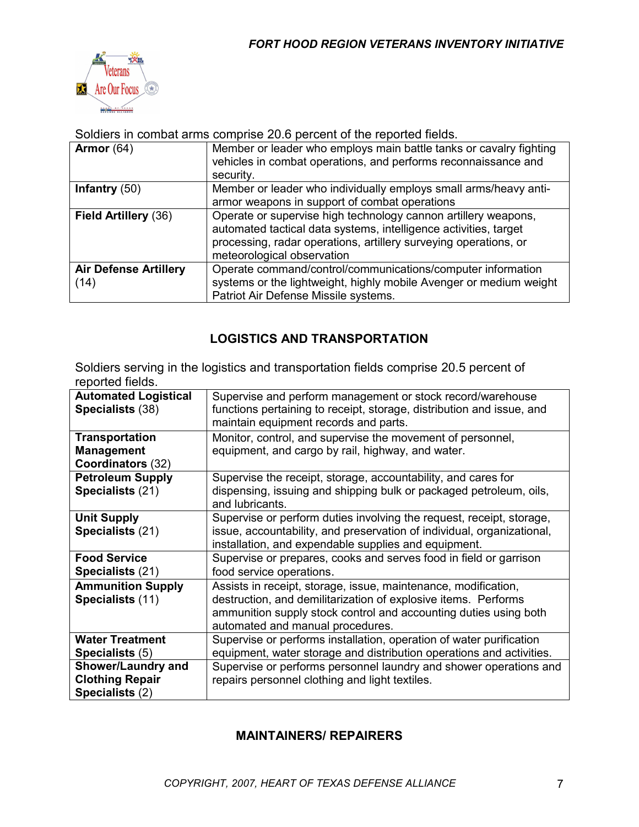

#### Soldiers in combat arms comprise 20.6 percent of the reported fields.

| Armor $(64)$                         | Member or leader who employs main battle tanks or cavalry fighting<br>vehicles in combat operations, and performs reconnaissance and<br>security.                                                                                    |
|--------------------------------------|--------------------------------------------------------------------------------------------------------------------------------------------------------------------------------------------------------------------------------------|
| Infantry $(50)$                      | Member or leader who individually employs small arms/heavy anti-<br>armor weapons in support of combat operations                                                                                                                    |
| Field Artillery (36)                 | Operate or supervise high technology cannon artillery weapons,<br>automated tactical data systems, intelligence activities, target<br>processing, radar operations, artillery surveying operations, or<br>meteorological observation |
| <b>Air Defense Artillery</b><br>(14) | Operate command/control/communications/computer information<br>systems or the lightweight, highly mobile Avenger or medium weight<br>Patriot Air Defense Missile systems.                                                            |

#### **LOGISTICS AND TRANSPORTATION**

Soldiers serving in the logistics and transportation fields comprise 20.5 percent of reported fields.

| <b>Automated Logistical</b><br>Specialists (38)                        | Supervise and perform management or stock record/warehouse<br>functions pertaining to receipt, storage, distribution and issue, and<br>maintain equipment records and parts.                                                             |
|------------------------------------------------------------------------|------------------------------------------------------------------------------------------------------------------------------------------------------------------------------------------------------------------------------------------|
| <b>Transportation</b><br><b>Management</b><br>Coordinators (32)        | Monitor, control, and supervise the movement of personnel,<br>equipment, and cargo by rail, highway, and water.                                                                                                                          |
| <b>Petroleum Supply</b><br>Specialists (21)                            | Supervise the receipt, storage, accountability, and cares for<br>dispensing, issuing and shipping bulk or packaged petroleum, oils,<br>and lubricants.                                                                                   |
| <b>Unit Supply</b><br>Specialists (21)                                 | Supervise or perform duties involving the request, receipt, storage,<br>issue, accountability, and preservation of individual, organizational,<br>installation, and expendable supplies and equipment.                                   |
| <b>Food Service</b><br>Specialists (21)                                | Supervise or prepares, cooks and serves food in field or garrison<br>food service operations.                                                                                                                                            |
| <b>Ammunition Supply</b><br>Specialists (11)                           | Assists in receipt, storage, issue, maintenance, modification,<br>destruction, and demilitarization of explosive items. Performs<br>ammunition supply stock control and accounting duties using both<br>automated and manual procedures. |
| <b>Water Treatment</b><br>Specialists (5)                              | Supervise or performs installation, operation of water purification<br>equipment, water storage and distribution operations and activities.                                                                                              |
| <b>Shower/Laundry and</b><br><b>Clothing Repair</b><br>Specialists (2) | Supervise or performs personnel laundry and shower operations and<br>repairs personnel clothing and light textiles.                                                                                                                      |

#### **MAINTAINERS/ REPAIRERS**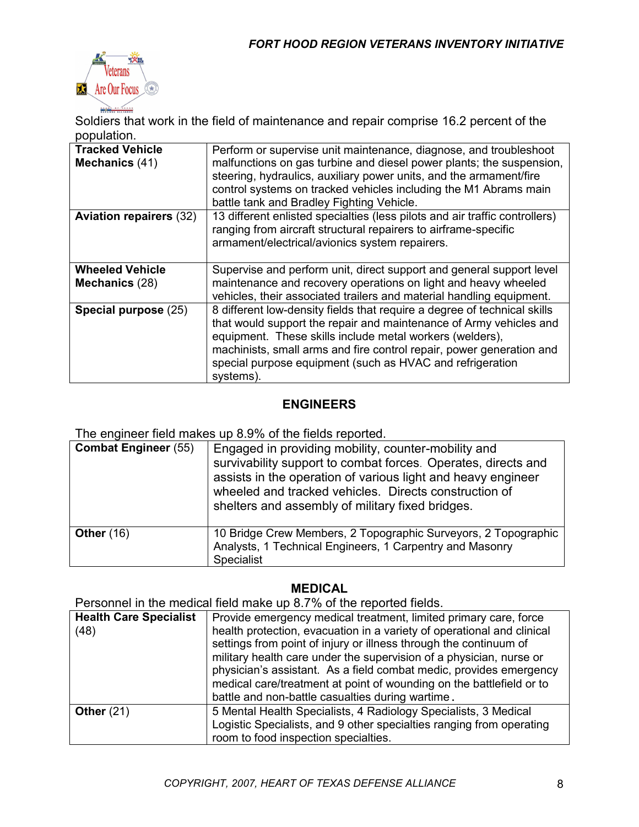

Soldiers that work in the field of maintenance and repair comprise 16.2 percent of the population.

| <b>Tracked Vehicle</b><br>Mechanics (41) | Perform or supervise unit maintenance, diagnose, and troubleshoot<br>malfunctions on gas turbine and diesel power plants; the suspension,<br>steering, hydraulics, auxiliary power units, and the armament/fire<br>control systems on tracked vehicles including the M1 Abrams main<br>battle tank and Bradley Fighting Vehicle.                             |
|------------------------------------------|--------------------------------------------------------------------------------------------------------------------------------------------------------------------------------------------------------------------------------------------------------------------------------------------------------------------------------------------------------------|
| <b>Aviation repairers (32)</b>           | 13 different enlisted specialties (less pilots and air traffic controllers)<br>ranging from aircraft structural repairers to airframe-specific<br>armament/electrical/avionics system repairers.                                                                                                                                                             |
| <b>Wheeled Vehicle</b><br>Mechanics (28) | Supervise and perform unit, direct support and general support level<br>maintenance and recovery operations on light and heavy wheeled<br>vehicles, their associated trailers and material handling equipment.                                                                                                                                               |
| Special purpose (25)                     | 8 different low-density fields that require a degree of technical skills<br>that would support the repair and maintenance of Army vehicles and<br>equipment. These skills include metal workers (welders),<br>machinists, small arms and fire control repair, power generation and<br>special purpose equipment (such as HVAC and refrigeration<br>systems). |

#### **ENGINEERS**

The engineer field makes up 8.9% of the fields reported.

| <b>Combat Engineer (55)</b> | Engaged in providing mobility, counter-mobility and<br>survivability support to combat forces. Operates, directs and<br>assists in the operation of various light and heavy engineer<br>wheeled and tracked vehicles. Directs construction of<br>shelters and assembly of military fixed bridges. |
|-----------------------------|---------------------------------------------------------------------------------------------------------------------------------------------------------------------------------------------------------------------------------------------------------------------------------------------------|
| <b>Other (16)</b>           | 10 Bridge Crew Members, 2 Topographic Surveyors, 2 Topographic<br>Analysts, 1 Technical Engineers, 1 Carpentry and Masonry<br>Specialist                                                                                                                                                          |

#### **MEDICAL**

Personnel in the medical field make up 8.7% of the reported fields.

| <b>Health Care Specialist</b> | Provide emergency medical treatment, limited primary care, force                                                                                                                                                                                                                         |
|-------------------------------|------------------------------------------------------------------------------------------------------------------------------------------------------------------------------------------------------------------------------------------------------------------------------------------|
| (48)                          | health protection, evacuation in a variety of operational and clinical<br>settings from point of injury or illness through the continuum of<br>military health care under the supervision of a physician, nurse or<br>physician's assistant. As a field combat medic, provides emergency |
|                               | medical care/treatment at point of wounding on the battlefield or to<br>battle and non-battle casualties during wartime.                                                                                                                                                                 |
| Other $(21)$                  | 5 Mental Health Specialists, 4 Radiology Specialists, 3 Medical<br>Logistic Specialists, and 9 other specialties ranging from operating<br>room to food inspection specialties.                                                                                                          |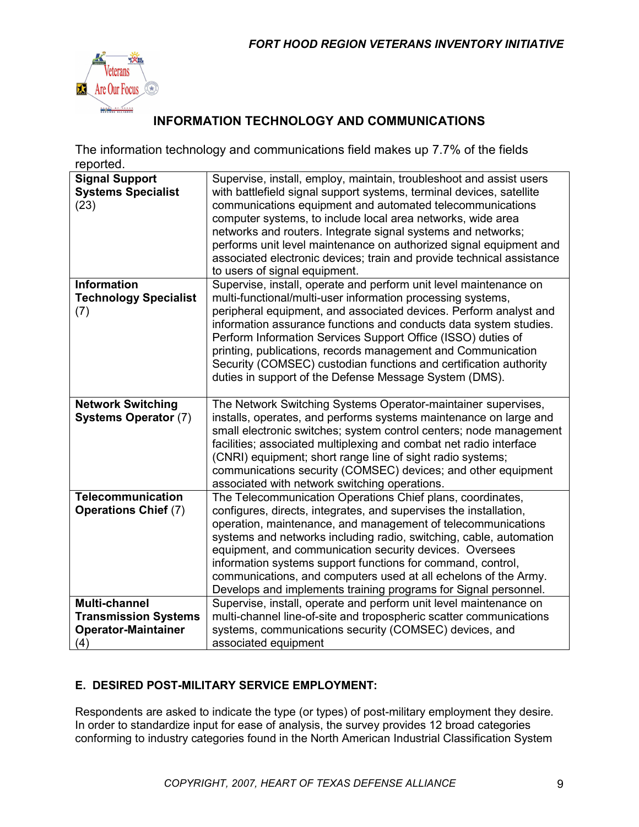

## **INFORMATION TECHNOLOGY AND COMMUNICATIONS**

The information technology and communications field makes up 7.7% of the fields reported.

| <b>Signal Support</b><br><b>Systems Specialist</b><br>(23)                               | Supervise, install, employ, maintain, troubleshoot and assist users<br>with battlefield signal support systems, terminal devices, satellite<br>communications equipment and automated telecommunications<br>computer systems, to include local area networks, wide area<br>networks and routers. Integrate signal systems and networks;<br>performs unit level maintenance on authorized signal equipment and<br>associated electronic devices; train and provide technical assistance<br>to users of signal equipment.                   |
|------------------------------------------------------------------------------------------|-------------------------------------------------------------------------------------------------------------------------------------------------------------------------------------------------------------------------------------------------------------------------------------------------------------------------------------------------------------------------------------------------------------------------------------------------------------------------------------------------------------------------------------------|
| <b>Information</b><br><b>Technology Specialist</b><br>(7)                                | Supervise, install, operate and perform unit level maintenance on<br>multi-functional/multi-user information processing systems,<br>peripheral equipment, and associated devices. Perform analyst and<br>information assurance functions and conducts data system studies.<br>Perform Information Services Support Office (ISSO) duties of<br>printing, publications, records management and Communication<br>Security (COMSEC) custodian functions and certification authority<br>duties in support of the Defense Message System (DMS). |
| <b>Network Switching</b><br><b>Systems Operator (7)</b>                                  | The Network Switching Systems Operator-maintainer supervises,<br>installs, operates, and performs systems maintenance on large and<br>small electronic switches; system control centers; node management<br>facilities; associated multiplexing and combat net radio interface<br>(CNRI) equipment; short range line of sight radio systems;<br>communications security (COMSEC) devices; and other equipment<br>associated with network switching operations.                                                                            |
| <b>Telecommunication</b><br><b>Operations Chief (7)</b>                                  | The Telecommunication Operations Chief plans, coordinates,<br>configures, directs, integrates, and supervises the installation,<br>operation, maintenance, and management of telecommunications<br>systems and networks including radio, switching, cable, automation<br>equipment, and communication security devices. Oversees<br>information systems support functions for command, control,<br>communications, and computers used at all echelons of the Army.<br>Develops and implements training programs for Signal personnel.     |
| <b>Multi-channel</b><br><b>Transmission Systems</b><br><b>Operator-Maintainer</b><br>(4) | Supervise, install, operate and perform unit level maintenance on<br>multi-channel line-of-site and tropospheric scatter communications<br>systems, communications security (COMSEC) devices, and<br>associated equipment                                                                                                                                                                                                                                                                                                                 |

### **E. DESIRED POST-MILITARY SERVICE EMPLOYMENT:**

Respondents are asked to indicate the type (or types) of post-military employment they desire. In order to standardize input for ease of analysis, the survey provides 12 broad categories conforming to industry categories found in the North American Industrial Classification System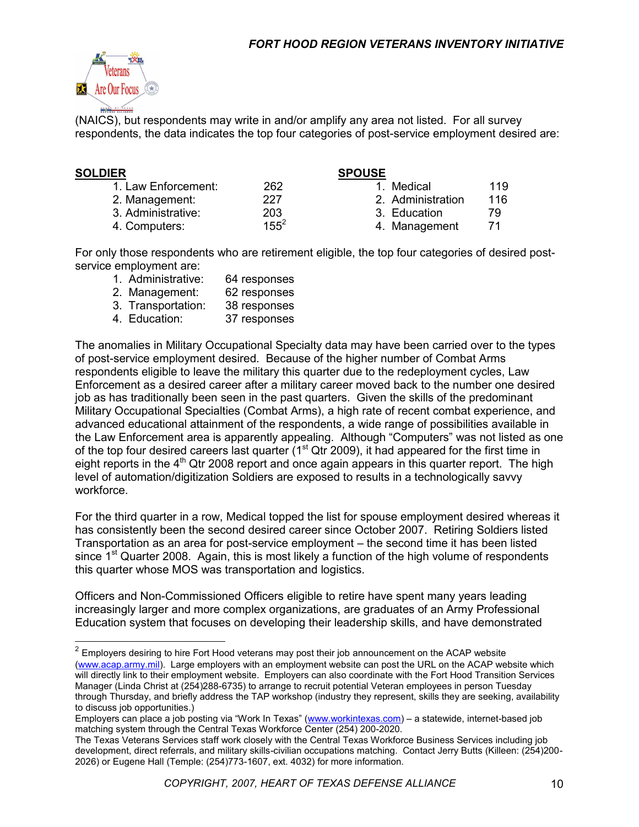

(NAICS), but respondents may write in and/or amplify any area not listed. For all survey respondents, the data indicates the top four categories of post-service employment desired are:

#### **SOLDIER SPOUSE**

| 1. Law Enforcement: | 262     |
|---------------------|---------|
| 2. Management:      | 227     |
| 3. Administrative:  | 203     |
| 4. Computers:       | $155^2$ |

- 1. Medical 119 2. Administration 116 3. Education 79
- 4. Management 71

For only those respondents who are retirement eligible, the top four categories of desired postservice employment are:

- 1. Administrative: 64 responses
- 2. Management: 62 responses
- 3. Transportation: 38 responses
- 4. Education: 37 responses

The anomalies in Military Occupational Specialty data may have been carried over to the types of post-service employment desired. Because of the higher number of Combat Arms respondents eligible to leave the military this quarter due to the redeployment cycles, Law Enforcement as a desired career after a military career moved back to the number one desired job as has traditionally been seen in the past quarters. Given the skills of the predominant Military Occupational Specialties (Combat Arms), a high rate of recent combat experience, and advanced educational attainment of the respondents, a wide range of possibilities available in the Law Enforcement area is apparently appealing. Although "Computers" was not listed as one of the top four desired careers last quarter ( $1<sup>st</sup>$  Qtr 2009), it had appeared for the first time in eight reports in the  $4<sup>th</sup>$  Qtr 2008 report and once again appears in this quarter report. The high level of automation/digitization Soldiers are exposed to results in a technologically savvy workforce.

For the third quarter in a row, Medical topped the list for spouse employment desired whereas it has consistently been the second desired career since October 2007. Retiring Soldiers listed Transportation as an area for post-service employment – the second time it has been listed since  $1<sup>st</sup>$  Quarter 2008. Again, this is most likely a function of the high volume of respondents this quarter whose MOS was transportation and logistics.

Officers and Non-Commissioned Officers eligible to retire have spent many years leading increasingly larger and more complex organizations, are graduates of an Army Professional Education system that focuses on developing their leadership skills, and have demonstrated

[\(www.acap.army.mil\)](http://www.acap.army.mil/). Large employers with an employment website can post the URL on the ACAP website which will directly link to their employment website. Employers can also coordinate with the Fort Hood Transition Services Manager (Linda Christ at (254)288-6735) to arrange to recruit potential Veteran employees in person Tuesday through Thursday, and briefly address the TAP workshop (industry they represent, skills they are seeking, availability to discuss job opportunities.)

Employers can place a job posting via "Work In Texas" ([www.workintexas.com\)](http://www.workintexas.com/) - a statewide, internet-based job matching system through the Central Texas Workforce Center (254) 200-2020.

 $2$  Employers desiring to hire Fort Hood veterans may post their job announcement on the ACAP website

The Texas Veterans Services staff work closely with the Central Texas Workforce Business Services including job development, direct referrals, and military skills-civilian occupations matching. Contact Jerry Butts (Killeen: (254)200- 2026) or Eugene Hall (Temple: (254)773-1607, ext. 4032) for more information.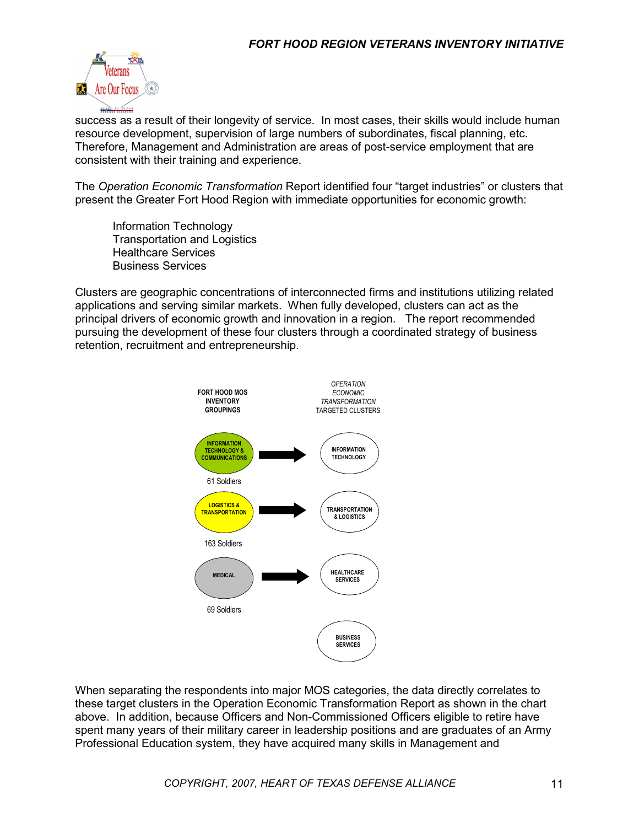

success as a result of their longevity of service. In most cases, their skills would include human resource development, supervision of large numbers of subordinates, fiscal planning, etc. Therefore, Management and Administration are areas of post-service employment that are consistent with their training and experience.

The *Operation Economic Transformation* Report identified four "target industries" or clusters that present the Greater Fort Hood Region with immediate opportunities for economic growth:

Information Technology Transportation and Logistics Healthcare Services Business Services

Clusters are geographic concentrations of interconnected firms and institutions utilizing related applications and serving similar markets. When fully developed, clusters can act as the principal drivers of economic growth and innovation in a region. The report recommended pursuing the development of these four clusters through a coordinated strategy of business retention, recruitment and entrepreneurship.



When separating the respondents into major MOS categories, the data directly correlates to these target clusters in the Operation Economic Transformation Report as shown in the chart above. In addition, because Officers and Non-Commissioned Officers eligible to retire have spent many years of their military career in leadership positions and are graduates of an Army Professional Education system, they have acquired many skills in Management and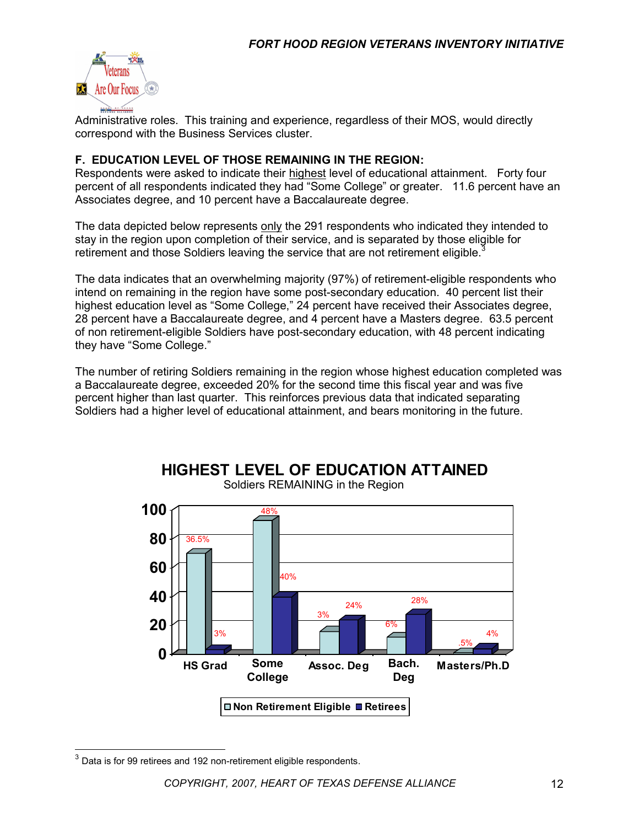

Administrative roles. This training and experience, regardless of their MOS, would directly correspond with the Business Services cluster.

#### **F. EDUCATION LEVEL OF THOSE REMAINING IN THE REGION:**

Respondents were asked to indicate their highest level of educational attainment. Forty four percent of all respondents indicated they had "Some College" or greater. 11.6 percent have an Associates degree, and 10 percent have a Baccalaureate degree.

The data depicted below represents only the 291 respondents who indicated they intended to stay in the region upon completion of their service, and is separated by those eligible for retirement and those Soldiers leaving the service that are not retirement eligible.<sup>3</sup>

The data indicates that an overwhelming majority (97%) of retirement-eligible respondents who intend on remaining in the region have some post-secondary education. 40 percent list their highest education level as "Some College," 24 percent have received their Associates degree, 28 percent have a Baccalaureate degree, and 4 percent have a Masters degree. 63.5 percent of non retirement-eligible Soldiers have post-secondary education, with 48 percent indicating they have "Some College."

The number of retiring Soldiers remaining in the region whose highest education completed was a Baccalaureate degree, exceeded 20% for the second time this fiscal year and was five percent higher than last quarter. This reinforces previous data that indicated separating Soldiers had a higher level of educational attainment, and bears monitoring in the future.



Soldiers REMAINING in the Region

**HIGHEST LEVEL OF EDUCATION ATTAINED**

 $\overline{a}$ 

 $^3$  Data is for 99 retirees and 192 non-retirement eligible respondents.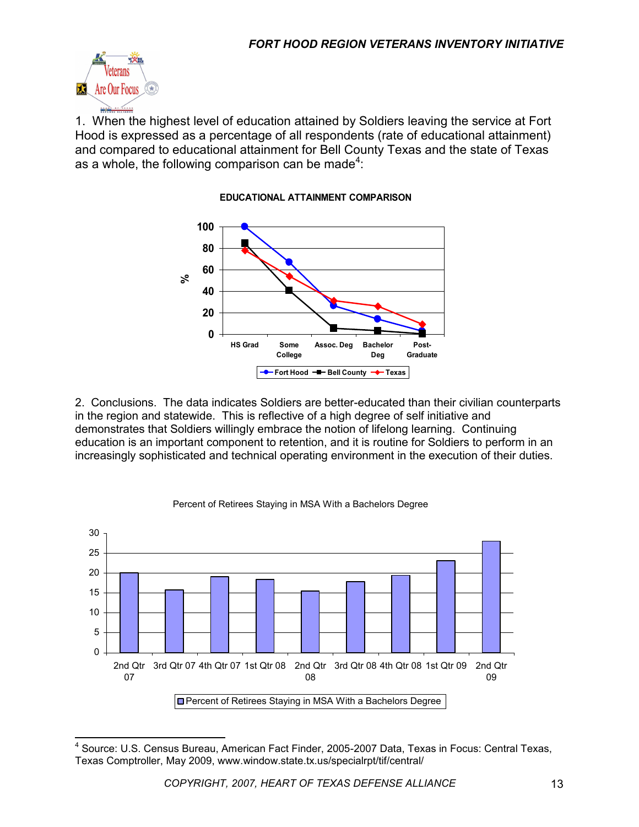

1. When the highest level of education attained by Soldiers leaving the service at Fort Hood is expressed as a percentage of all respondents (rate of educational attainment) and compared to educational attainment for Bell County Texas and the state of Texas as a whole, the following comparison can be made<sup>4</sup>:



#### **EDUCATIONAL ATTAINMENT COMPARISON**

2. Conclusions. The data indicates Soldiers are better-educated than their civilian counterparts in the region and statewide. This is reflective of a high degree of self initiative and demonstrates that Soldiers willingly embrace the notion of lifelong learning. Continuing education is an important component to retention, and it is routine for Soldiers to perform in an increasingly sophisticated and technical operating environment in the execution of their duties.



#### Percent of Retirees Staying in MSA With a Bachelors Degree

 $\overline{\phantom{a}}$ <sup>4</sup> Source: U.S. Census Bureau, American Fact Finder, 2005-2007 Data, Texas in Focus: Central Texas, Texas Comptroller, May 2009, www.window.state.tx.us/specialrpt/tif/central/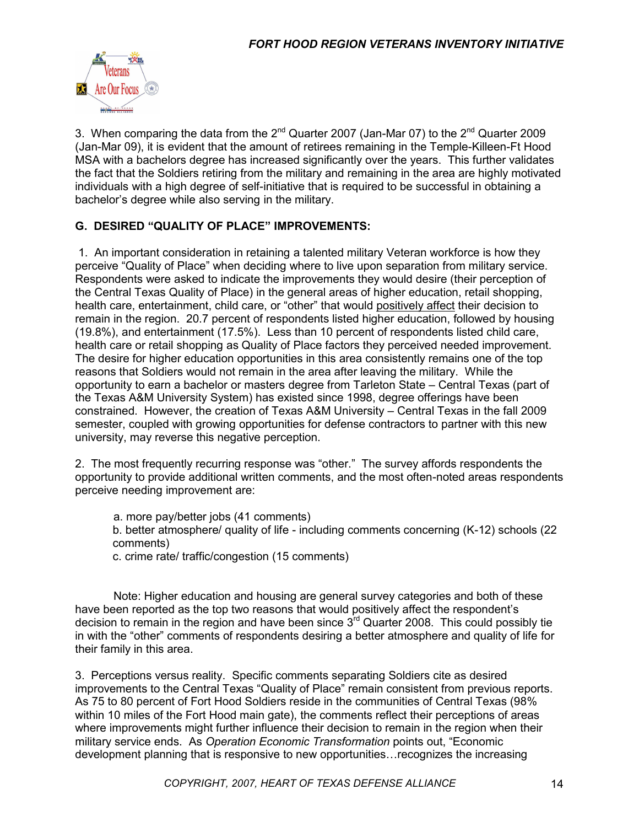

3. When comparing the data from the  $2^{nd}$  Quarter 2007 (Jan-Mar 07) to the  $2^{nd}$  Quarter 2009 (Jan-Mar 09), it is evident that the amount of retirees remaining in the Temple-Killeen-Ft Hood MSA with a bachelors degree has increased significantly over the years. This further validates the fact that the Soldiers retiring from the military and remaining in the area are highly motivated individuals with a high degree of self-initiative that is required to be successful in obtaining a bachelor's degree while also serving in the military.

#### **G. DESIRED "QUALITY OF PLACE" IMPROVEMENTS:**

1. An important consideration in retaining a talented military Veteran workforce is how they perceive "Quality of Place" when deciding where to live upon separation from military service. Respondents were asked to indicate the improvements they would desire (their perception of the Central Texas Quality of Place) in the general areas of higher education, retail shopping, health care, entertainment, child care, or "other" that would positively affect their decision to remain in the region. 20.7 percent of respondents listed higher education, followed by housing (19.8%), and entertainment (17.5%). Less than 10 percent of respondents listed child care, health care or retail shopping as Quality of Place factors they perceived needed improvement. The desire for higher education opportunities in this area consistently remains one of the top reasons that Soldiers would not remain in the area after leaving the military. While the opportunity to earn a bachelor or masters degree from Tarleton State – Central Texas (part of the Texas A&M University System) has existed since 1998, degree offerings have been constrained. However, the creation of Texas A&M University – Central Texas in the fall 2009 semester, coupled with growing opportunities for defense contractors to partner with this new university, may reverse this negative perception.

2. The most frequently recurring response was "other." The survey affords respondents the opportunity to provide additional written comments, and the most often-noted areas respondents perceive needing improvement are:

- a. more pay/better jobs (41 comments)
- b. better atmosphere/ quality of life including comments concerning (K-12) schools (22 comments)
- c. crime rate/ traffic/congestion (15 comments)

 Note: Higher education and housing are general survey categories and both of these have been reported as the top two reasons that would positively affect the respondent's decision to remain in the region and have been since  $3<sup>rd</sup>$  Quarter 2008. This could possibly tie in with the "other" comments of respondents desiring a better atmosphere and quality of life for their family in this area.

3. Perceptions versus reality. Specific comments separating Soldiers cite as desired improvements to the Central Texas "Quality of Place" remain consistent from previous reports. As 75 to 80 percent of Fort Hood Soldiers reside in the communities of Central Texas (98% within 10 miles of the Fort Hood main gate), the comments reflect their perceptions of areas where improvements might further influence their decision to remain in the region when their military service ends. As *Operation Economic Transformation* points out, "Economic development planning that is responsive to new opportunities…recognizes the increasing